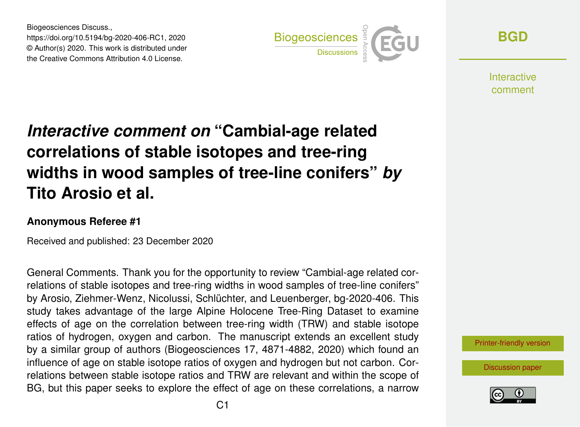Biogeosciences Discuss., https://doi.org/10.5194/bg-2020-406-RC1, 2020 © Author(s) 2020. This work is distributed under the Creative Commons Attribution 4.0 License.



**[BGD](https://bg.copernicus.org/preprints/)**

**Interactive** comment

# *Interactive comment on* **"Cambial-age related correlations of stable isotopes and tree-ring widths in wood samples of tree-line conifers"** *by* **Tito Arosio et al.**

#### **Anonymous Referee #1**

Received and published: 23 December 2020

General Comments. Thank you for the opportunity to review "Cambial-age related correlations of stable isotopes and tree-ring widths in wood samples of tree-line conifers" by Arosio, Ziehmer-Wenz, Nicolussi, Schlüchter, and Leuenberger, bg-2020-406. This study takes advantage of the large Alpine Holocene Tree-Ring Dataset to examine effects of age on the correlation between tree-ring width (TRW) and stable isotope ratios of hydrogen, oxygen and carbon. The manuscript extends an excellent study by a similar group of authors (Biogeosciences 17, 4871-4882, 2020) which found an influence of age on stable isotope ratios of oxygen and hydrogen but not carbon. Correlations between stable isotope ratios and TRW are relevant and within the scope of BG, but this paper seeks to explore the effect of age on these correlations, a narrow



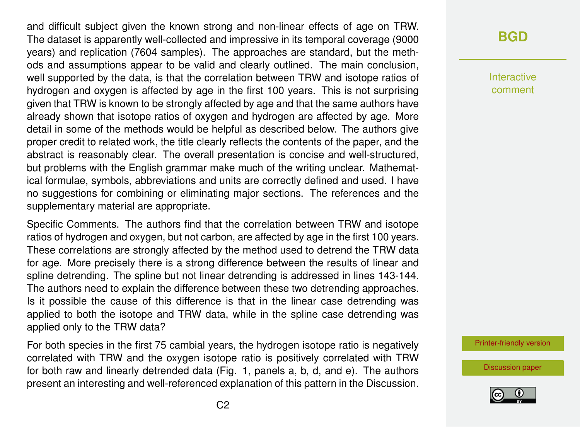and difficult subject given the known strong and non-linear effects of age on TRW. The dataset is apparently well-collected and impressive in its temporal coverage (9000 years) and replication (7604 samples). The approaches are standard, but the methods and assumptions appear to be valid and clearly outlined. The main conclusion, well supported by the data, is that the correlation between TRW and isotope ratios of hydrogen and oxygen is affected by age in the first 100 years. This is not surprising given that TRW is known to be strongly affected by age and that the same authors have already shown that isotope ratios of oxygen and hydrogen are affected by age. More detail in some of the methods would be helpful as described below. The authors give proper credit to related work, the title clearly reflects the contents of the paper, and the abstract is reasonably clear. The overall presentation is concise and well-structured, but problems with the English grammar make much of the writing unclear. Mathematical formulae, symbols, abbreviations and units are correctly defined and used. I have no suggestions for combining or eliminating major sections. The references and the supplementary material are appropriate.

Specific Comments. The authors find that the correlation between TRW and isotope ratios of hydrogen and oxygen, but not carbon, are affected by age in the first 100 years. These correlations are strongly affected by the method used to detrend the TRW data for age. More precisely there is a strong difference between the results of linear and spline detrending. The spline but not linear detrending is addressed in lines 143-144. The authors need to explain the difference between these two detrending approaches. Is it possible the cause of this difference is that in the linear case detrending was applied to both the isotope and TRW data, while in the spline case detrending was applied only to the TRW data?

For both species in the first 75 cambial years, the hydrogen isotope ratio is negatively correlated with TRW and the oxygen isotope ratio is positively correlated with TRW for both raw and linearly detrended data (Fig. 1, panels a, b, d, and e). The authors present an interesting and well-referenced explanation of this pattern in the Discussion.

### **[BGD](https://bg.copernicus.org/preprints/)**

Interactive comment

[Printer-friendly version](https://bg.copernicus.org/preprints/bg-2020-406/bg-2020-406-RC1-print.pdf)

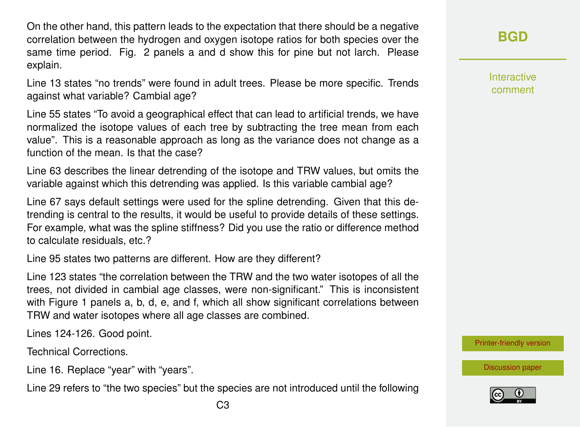On the other hand, this pattern leads to the expectation that there should be a negative correlation between the hydrogen and oxygen isotope ratios for both species over the same time period. Fig. 2 panels a and d show this for pine but not larch. Please explain.

Line 13 states "no trends" were found in adult trees. Please be more specific. Trends against what variable? Cambial age?

Line 55 states "To avoid a geographical effect that can lead to artificial trends, we have normalized the isotope values of each tree by subtracting the tree mean from each value". This is a reasonable approach as long as the variance does not change as a function of the mean. Is that the case?

Line 63 describes the linear detrending of the isotope and TRW values, but omits the variable against which this detrending was applied. Is this variable cambial age?

Line 67 says default settings were used for the spline detrending. Given that this detrending is central to the results, it would be useful to provide details of these settings. For example, what was the spline stiffness? Did you use the ratio or difference method to calculate residuals, etc.?

Line 95 states two patterns are different. How are they different?

Line 123 states "the correlation between the TRW and the two water isotopes of all the trees, not divided in cambial age classes, were non-significant." This is inconsistent with Figure 1 panels a, b, d, e, and f, which all show significant correlations between TRW and water isotopes where all age classes are combined.

Lines 124-126. Good point.

Technical Corrections.

Line 16. Replace "year" with "years".

Line 29 refers to "the two species" but the species are not introduced until the following

#### **[BGD](https://bg.copernicus.org/preprints/)**

Interactive comment

[Printer-friendly version](https://bg.copernicus.org/preprints/bg-2020-406/bg-2020-406-RC1-print.pdf)